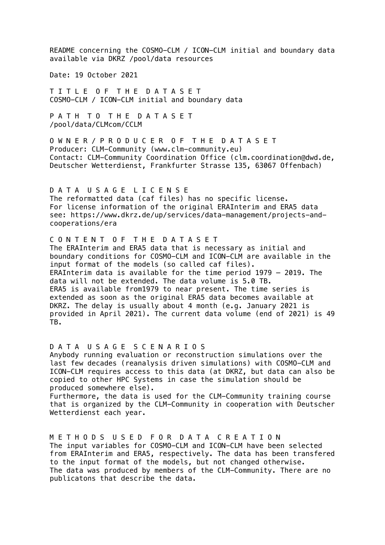README concerning the COSMO-CLM / ICON-CLM initial and boundary data available via DKRZ /pool/data resources

Date: 19 October 2021

T I T L E O F T H E D A T A S E T COSMO-CLM / ICON-CLM initial and boundary data

P A T H T O T H E D A T A S E T /pool/data/CLMcom/CCLM

O W N E R / P R O D U C E R O F T H E D A T A S E T Producer: CLM-Community (www.clm-community.eu) Contact: CLM-Community Coordination Office (clm.coordination@dwd.de, Deutscher Wetterdienst, Frankfurter Strasse 135, 63067 Offenbach)

D A T A U S A G E L I C E N S E The reformatted data (caf files) has no specific license. For license information of the original ERAInterim and ERA5 data see: https://www.dkrz.de/up/services/data-management/projects-andcooperations/era

C O N T E N T O F T H E D A T A S E T

produced somewhere else).

The ERAInterim and ERA5 data that is necessary as initial and boundary conditions for COSMO-CLM and ICON-CLM are available in the input format of the models (so called caf files). ERAInterim data is available for the time period 1979 – 2019. The data will not be extended. The data volume is 5.0 TB. ERA5 is available from1979 to near present. The time series is extended as soon as the original ERA5 data becomes available at DKRZ. The delay is usually about 4 month (e.g. January 2021 is provided in April 2021). The current data volume (end of 2021) is 49 TB.

D A T A U S A G E S C E N A R I O S Anybody running evaluation or reconstruction simulations over the last few decades (reanalysis driven simulations) with COSMO-CLM and ICON-CLM requires access to this data (at DKRZ, but data can also be copied to other HPC Systems in case the simulation should be

Furthermore, the data is used for the CLM-Community training course that is organized by the CLM-Community in cooperation with Deutscher Wetterdienst each year.

M E T H O D S U S E D F O R D A T A C R E A T I O N The input variables for COSMO-CLM and ICON-CLM have been selected from ERAInterim and ERA5, respectively. The data has been transfered to the input format of the models, but not changed otherwise. The data was produced by members of the CLM-Community. There are no publicatons that describe the data.